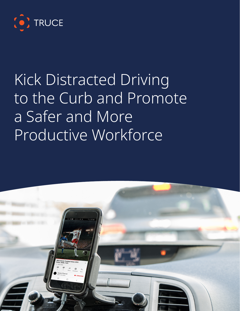

# Kick Distracted Driving to the Curb and Promote a Safer and More Productive Workforce

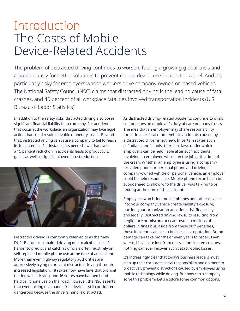## Introduction The Costs of Mobile Device-Related Accidents

The problem of distracted driving continues to worsen, fueling a growing global crisis and a public outcry for better solutions to prevent mobile device use behind the wheel. And it's particularly risky for employers whose workers drive company-owned or leased vehicles. The National Safety Council (NSC) claims that distracted driving is the leading cause of fatal crashes, and 40 percent of all workplace fatalities involved transportation incidents (U.S. Bureau of Labor Statistics).<sup>1</sup>

In addition to the safety risks, distracted driving also poses significant financial liability for a company. For accidents that occur at the workplace, an organization may face legal action that could result in sizable monetary losses. Beyond that, distracted driving can cause a company to fail to reach its full potential. For instance, it's been shown that even a 15 percent reduction in accidents leads to productivity gains, as well as significant overall cost reductions.



Distracted driving is commonly referred to as the "new DUI." But unlike impaired driving due to alcohol use, it's harder to predict and catch as officials often must rely on self-reported mobile phone use at the time of an incident. More than ever, highway regulatory authorities are aggressively trying to prevent distracted driving through increased legislation. 48 states now have laws that prohibit texting while driving, and 16 states have banned handheld cell phone use on the road. However, the NSC asserts that even talking on a hands-free device is still considered dangerous because the driver's mind is distracted.

As distracted driving-related accidents continue to climb, so, too, does an employer's duty of care on many fronts. The idea that an employer may share responsibility for serious or fatal motor vehicle accidents caused by a distracted driver is not new. In certain states such as Indiana and Illinois, there are laws under which employers can be held liable after such accidents involving an employee who is on the job at the time of the crash. Whether an employee is using a companyprovided phone or personal phone and driving a company-owned vehicle or personal vehicle, an employer could be held responsible. Mobile phone records can be subpoenaed to show who the driver was talking to or texting at the time of the accident.

Employees who bring mobile phones and other devices into your company vehicle create liability exposure, putting your organization at serious risk financially and legally. Distracted driving lawsuits resulting from negligence or misconduct can result in millions of dollars in fines but, aside from these stiff penalties, these incidents can cost a business its reputation. Brand damage can take months or even years to repair. Even worse, if lives are lost from distraction-related crashes, nothing can ever recover such catastrophic losses.

It's increasingly clear that today's business leaders must step up their corporate social responsibility and do more to proactively prevent distractions caused by employees using mobile technology while driving. But how can a company solve this problem? Let's explore some common options.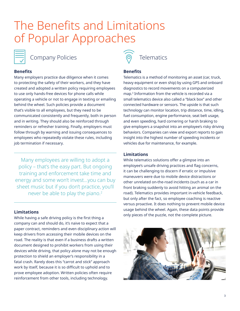## The Benefits and Limitations of Popular Approaches



## **Benefits**

Many employers practice due diligence when it comes to protecting the safety of their workers, and they have created and adopted a written policy requiring employees to use only hands-free devices for phone calls while operating a vehicle or not to engage in texting or emailing behind the wheel. Such policies provide a document that's visible to all employees, but they need to be communicated consistently and frequently, both in person and in writing. They should also be reinforced through reminders or refresher training. Finally, employers must follow through by warning and issuing consequences to employees who repeatedly violate these rules, including job termination if necessary.

Many employees are willing to adopt a policy – that's the easy part. But ongoing training and enforcement take time and energy and some won't invest…you can buy sheet music but if you don't practice, you'll never be able to play the piano.<sup>2</sup>

## **Limitations**

While having a safe driving policy is the first thing a company can and should do, it's naive to expect that a paper contract, reminders and even disciplinary action will keep drivers from accessing their mobile devices on the road. The reality is that even if a business drafts a written document designed to prohibit workers from using their devices while driving, that policy alone may not be enough protection to shield an employer's responsibility in a fatal crash. Rarely does this "carrot and stick" approach work by itself, because it is so difficult to uphold and to prove employee adoption. Written policies often require reinforcement from other tools, including technology.



## **Benefits**

Telematics is a method of monitoring an asset (car, truck, heavy equipment or even ship) by using GPS and onboard diagnostics to record movements on a computerized map.<sup>3</sup> Information from the vehicle is recorded via a small telematics device also called a "black box" and other connected hardware or sensors. The upside is that such technology can monitor location, trip distance, time, idling, fuel consumption, engine performance, seat belt usage, and even speeding, hard cornering or harsh braking to give employers a snapshot into an employee's risky driving behaviors. Companies can view and export reports to gain insight into the highest number of speeding incidents or vehicles due for maintenance, for example.

## **Limitations**

While telematics solutions offer a glimpse into an employee's unsafe driving practices and flag concerns, it can be challenging to discern if erratic or impulsive maneuvers were due to mobile device distractions or other unrelated on-the-road incidents (such as a car in front braking suddenly to avoid hitting an animal on the road). Telematics provides important in-vehicle feedback, but only after the fact, so employee coaching is reactive versus proactive. It does nothing to prevent mobile device usage behind the wheel. Again, these data points provide only pieces of the puzzle, not the complete picture.

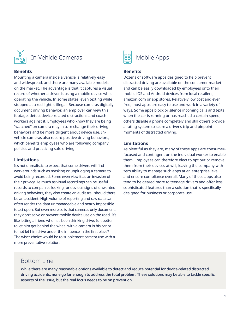

## **Benefits**

Mounting a camera inside a vehicle is relatively easy and widespread, and there are many available models on the market. The advantage is that it captures a visual record of whether a driver is using a mobile device while operating the vehicle. In some states, even texting while stopped at a red light is illegal. Because cameras digitally document driving behavior, an employer can view this footage, detect device-related distractions and coach workers against it. Employees who know they are being "watched" on camera may in turn change their driving behaviors and be more diligent about device use. Invehicle cameras also record positive driving behaviors, which benefits employees who are following company policies and practicing safe driving.

### **Limitations**

It's not unrealistic to expect that some drivers will find workarounds such as masking or unplugging a camera to avoid being recorded. Some even view it as an invasion of their privacy. As much as visual recordings can be useful records to companies looking for obvious signs of unwanted driving behaviors, they also create an audit trail should there be an accident. High volume of reporting and raw data can often render the data unmanageable and nearly impossible to act upon. But even more so is that cameras only document; they don't solve or prevent mobile device use on the road. It's like letting a friend who has been drinking drive. Is it better to let him get behind the wheel with a camera in his car or to not let him drive under the influence in the first place? The wiser choice would be to supplement camera use with a more preventative solution.



## **Benefits**

Dozens of software apps designed to help prevent distracted driving are available on the consumer market and can be easily downloaded by employees onto their mobile iOS and Android devices from local retailers, amazon.com or app stores. Relatively low cost and even free, most apps are easy to use and work in a variety of ways. Some apps block or silence incoming calls and texts when the car is running or has reached a certain speed, others disable a phone completely and still others provide a rating system to score a driver's trip and pinpoint moments of distracted driving.

### **Limitations**

As plentiful as they are, many of these apps are consumerfocused and contingent on the individual worker to enable them. Employees can therefore elect to opt out or remove them from their devices at will, leaving the company with zero ability to manage such apps at an enterprise level and ensure compliance overall. Many of these apps also tend to be geared more to teenage drivers and offer less sophisticated features than a solution that is specifically designed for business or corporate use.

## Bottom Line

While there are many reasonable options available to detect and reduce potential for device-related distracted driving accidents, none go far enough to address the total problem. These solutions may be able to tackle specific aspects of the issue, but the real focus needs to be on prevention.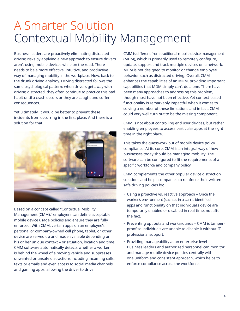## A Smarter Solution Contextual Mobility Management

Business leaders are proactively eliminating distracted driving risks by applying a new approach to ensure drivers aren't using mobile devices while on the road. There needs to be a more effective, intuitive, and productive way of managing mobility in the workplace. Now, back to the drunk driving analogy. Driving distracted follows the same psychological pattern: when drivers get away with driving distracted, they often continue to practice this bad habit until a crash occurs or they are caught and suffer consequences.

Yet ultimately, it would be better to prevent these incidents from occurring in the first place. And there is a solution for that.



Based on a concept called "Contextual Mobility Management (CMM)," employers can define acceptable mobile device usage policies and ensure they are fully enforced. With CMM, certain apps on an employee's personal or company-owned cell phone, tablet, or other device are served up and made available depending on his or her unique context – or situation, location and time. CMM software automatically detects whether a worker is behind the wheel of a moving vehicle and suppresses unwanted or unsafe distractions including incoming calls, texts or emails and even access to social media channels and gaming apps, allowing the driver to drive.

CMM is different from traditional mobile device management (MDM), which is primarily used to remotely configure, update, support and track multiple devices on a network. MDM is not designed to monitor or change employee behavior such as distracted driving. Overall, CMM enhances the capabilities of an MDM, providing important capabilities that MDM simply can't do alone. There have been many approaches to addressing this problem, though most have not been effective. Yet context-based functionality is remarkably impactful when it comes to solving a number of these limitations and in fact, CMM could very well turn out to be the missing component.

CMM is not about controlling end user devices, but rather enabling employees to access particular apps at the right time in the right place.

This takes the guesswork out of mobile device policy compliance. At its core, CMM is an integral way of how businesses today should be managing mobility. The software can be configured to fit the requirements of a specific workforce and company policy.

CMM complements the other popular device distraction solutions and helps companies to reinforce their written safe driving policies by:

- Using a proactive vs. reactive approach Once the worker's environment (such as in a car) is identified, apps and functionality on that individual's device are temporarily enabled or disabled in real-time, not after the fact.
- Preventing opt outs and workarounds CMM is tamperproof so individuals are unable to disable it without IT professional support.
- Providing manageability at an enterprise level Business leaders and authorized personnel can monitor and manage mobile device policies centrally with one uniform and consistent approach, which helps to enforce compliance across the workforce.